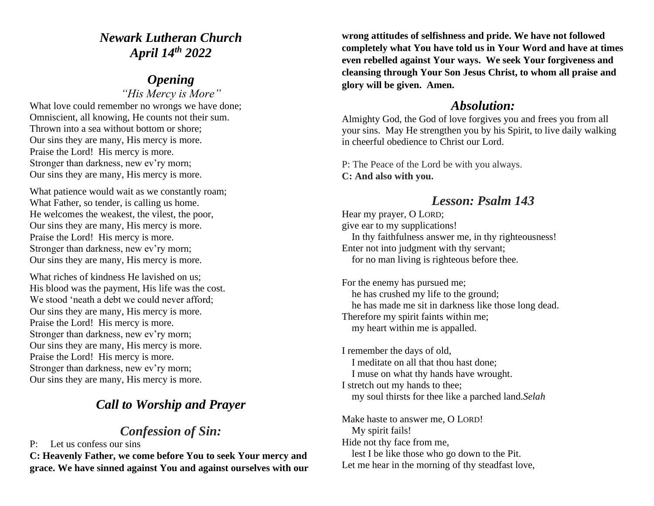# *Newark Lutheran Church April 14th 2022*

## *Opening*

#### *"His Mercy is More"*

What love could remember no wrongs we have done; Omniscient, all knowing, He counts not their sum. Thrown into a sea without bottom or shore; Our sins they are many, His mercy is more. Praise the Lord! His mercy is more. Stronger than darkness, new ev'ry morn; Our sins they are many, His mercy is more.

What patience would wait as we constantly roam; What Father, so tender, is calling us home. He welcomes the weakest, the vilest, the poor, Our sins they are many, His mercy is more. Praise the Lord! His mercy is more. Stronger than darkness, new ev'ry morn; Our sins they are many, His mercy is more.

What riches of kindness He lavished on us; His blood was the payment, His life was the cost. We stood 'neath a debt we could never afford: Our sins they are many, His mercy is more. Praise the Lord! His mercy is more. Stronger than darkness, new ev'ry morn; Our sins they are many, His mercy is more. Praise the Lord! His mercy is more. Stronger than darkness, new ev'ry morn; Our sins they are many, His mercy is more.

### *Call to Worship and Prayer*

# *Confession of Sin:*

P: Let us confess our sins

**C: Heavenly Father, we come before You to seek Your mercy and grace. We have sinned against You and against ourselves with our** 

**wrong attitudes of selfishness and pride. We have not followed completely what You have told us in Your Word and have at times even rebelled against Your ways. We seek Your forgiveness and cleansing through Your Son Jesus Christ, to whom all praise and glory will be given. Amen.**

#### *Absolution:*

Almighty God, the God of love forgives you and frees you from all your sins. May He strengthen you by his Spirit, to live daily walking in cheerful obedience to Christ our Lord.

P: The Peace of the Lord be with you always. **C: And also with you.**

### *Lesson: Psalm 143*

Hear my prayer, O LORD; give ear to my supplications! In thy faithfulness answer me, in thy righteousness! Enter not into judgment with thy servant; for no man living is righteous before thee.

For the enemy has pursued me; he has crushed my life to the ground; he has made me sit in darkness like those long dead. Therefore my spirit faints within me; my heart within me is appalled.

I remember the days of old, I meditate on all that thou hast done; I muse on what thy hands have wrought. I stretch out my hands to thee; my soul thirsts for thee like a parched land.*Selah*

Make haste to answer me, O LORD! My spirit fails! Hide not thy face from me, lest I be like those who go down to the Pit. Let me hear in the morning of thy steadfast love,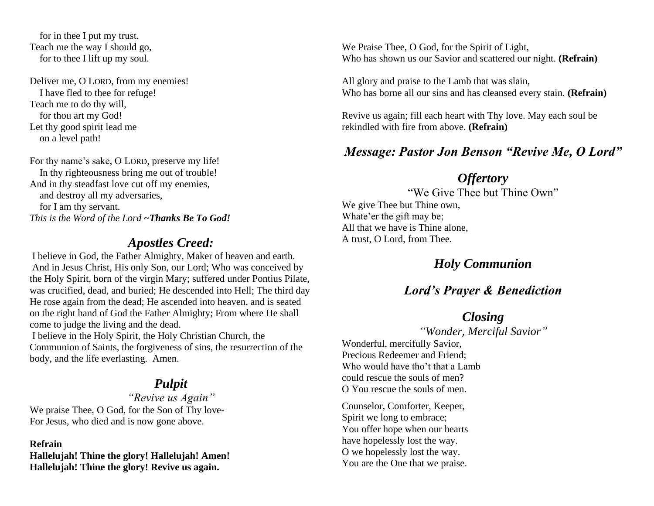for in thee I put my trust. Teach me the way I should go, for to thee I lift up my soul.

Deliver me, O LORD, from my enemies! I have fled to thee for refuge! Teach me to do thy will, for thou art my God! Let thy good spirit lead me on a level path!

For thy name's sake, O LORD, preserve my life! In thy righteousness bring me out of trouble! And in thy steadfast love cut off my enemies, and destroy all my adversaries, for I am thy servant. *This is the Word of the Lord ~Thanks Be To God!*

### *Apostles Creed:*

I believe in God, the Father Almighty, Maker of heaven and earth. And in Jesus Christ, His only Son, our Lord; Who was conceived by the Holy Spirit, born of the virgin Mary; suffered under Pontius Pilate, was crucified, dead, and buried; He descended into Hell; The third day He rose again from the dead; He ascended into heaven, and is seated on the right hand of God the Father Almighty; From where He shall come to judge the living and the dead.

I believe in the Holy Spirit, the Holy Christian Church, the Communion of Saints, the forgiveness of sins, the resurrection of the body, and the life everlasting. Amen.

#### *Pulpit*

*"Revive us Again"* We praise Thee, O God, for the Son of Thy love-For Jesus, who died and is now gone above.

**Refrain Hallelujah! Thine the glory! Hallelujah! Amen! Hallelujah! Thine the glory! Revive us again.** 

We Praise Thee, O God, for the Spirit of Light, Who has shown us our Savior and scattered our night. **(Refrain)**

All glory and praise to the Lamb that was slain, Who has borne all our sins and has cleansed every stain. **(Refrain)** 

Revive us again; fill each heart with Thy love. May each soul be rekindled with fire from above. **(Refrain)**

### *Message: Pastor Jon Benson "Revive Me, O Lord"*

# *Offertory*

"We Give Thee but Thine Own" We give Thee but Thine own, Whate'er the gift may be; All that we have is Thine alone, A trust, O Lord, from Thee.

### *Holy Communion*

### *Lord's Prayer & Benediction*

#### *Closing*

*"Wonder, Merciful Savior"*

Wonderful, mercifully Savior, Precious Redeemer and Friend; Who would have tho't that a Lamb could rescue the souls of men? O You rescue the souls of men.

Counselor, Comforter, Keeper, Spirit we long to embrace; You offer hope when our hearts have hopelessly lost the way. O we hopelessly lost the way. You are the One that we praise.